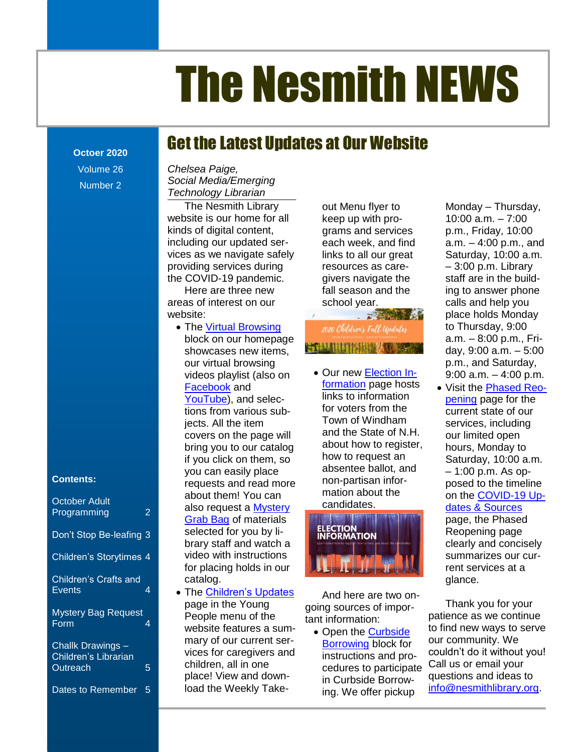# The Nesmith NEWS

Get the Latest Updates at Our Website

### **Octoer 2020**

Volume 26 Number 2

#### **Contents:**

October Adult Programming 2

Don't Stop Be-leafing 3

Children's Storytimes 4

Children's Crafts and Events 4

Mystery Bag Request Form 4

Challk Drawings – Children's Librarian Outreach 5

Dates to Remember 5

Social Media/Emerging The Nesmith NEWS [...............................................................................................................................................................................1](file:///C:/Users/Joyce/Documents/Nesmith/2013/Feb%202013/NN02_13.doc%23_Toc347430548) *Chelsea Paige, Technology Librarian*

website is our home for all interprie with pro- the most of a.m. – 7:00 including our updated ser-<br>
each week, and find a.m. – 4:00 p.m., and providing services during exercices as care- and all post of p.m. Library The Nesmith Library kinds of digital content, vices as we navigate safely the COVID-19 pandemic.

Here are three new areas of interest on our website:

- **Contents** showcases new items, The Nesmith NEWS [...............................................................................................................................................................................1](file:///C:/Users/Joyce/Documents/Nesmith/2013/Feb%202013/NN02_13.doc%23_Toc347430578) • Our new [Election In](https://nesmithlibrary.org/election-information)videos playlist (also on  $\bullet$  Our new **Election In-** 9:00 a.m. – 4:00 p.m. • The [Virtual Browsing](https://nesmithlibrary.org/slider/2014/02/14/virtual-browsing) block on our homepage our virtual browsing [Facebook](https://www.facebook.com/watch/83948704453/612464249692049/) and tions from various subjects. All the item if you click on them, so you can easily place requests and read more about them! You can also request a [Mystery](https://docs.google.com/forms/d/e/1FAIpQLSdocRC81u78k_W2q4TXATClKIE-lb4kT8K8u4v4JOGW-Vp7kg/viewform)  [Grab Bag](https://docs.google.com/forms/d/e/1FAIpQLSdocRC81u78k_W2q4TXATClKIE-lb4kT8K8u4v4JOGW-Vp7kg/viewform) of materials selected for you by library staff and watch a video with instructions for placing holds in our catalog.
	- The [Children's Updates](https://nesmithlibrary.org/childrens-updates) page in the Young People menu of the website features a summary of our current services for caregivers and children, all in one place! View and download the Weekly Take-

out Menu flyer to keep up with programs and services each week, and find links to all our great resources as caregivers navigate the fall season and the school year.

## 2020 Children's Fall Updates FT UILITHERMONT

formation page hosts links to information and the State of N.H. about how to register, mation about the candidates.



And here are two ongoing sources of important information:

• Open the Curbside [Borrowing](https://nesmithlibrary.org/slider/2018/09/11/curbside-borrowing-services) block for instructions and procedures to participate in Curbside Borrowing. We offer pickup

ne Nesmith Library and thenu flyer to the Monday – Thursday, of digital content, exams and services p.m., Friday, 10:00 The Reference Corners: Political Corners and the corners of the state of the state of the state of the state of the state of the state of the state of the state of the state of the state of the state of the state of the st as we navigate safely links to all our great Saturday, 10:00 a.m. OVID-19 pandemic. The givers navigate the The staff are in the buildere are three new fall season and the ing to answer phone [New Non-Fiction Titles in the Children's Room...................................................................................](file:///C:/Users/Joyce/Documents/Nesmith/2013/Feb%202013/NN02_13.doc%23_Toc347430558) **Error! Bookmark not defined.** Date strike strike substitution in the second of the strike strike in the strike strike in the strike strike i 10:00 a.m. – 7:00 a.m. – 4:00 p.m., and – 3:00 p.m. Library calls and help you place holds Monday to Thursday, 9:00 a.m. – 8:00 p.m., Friday, 9:00 a.m. – 5:00 p.m., and Saturday, 9:00 a.m. – 4:00 p.m.

acebook and <u>formation</u> page nosts visit the **Phased Reo-**[YouTube\)](https://www.youtube.com/playlist?list=PLhwFHRAKHbq3kCFYFrqMimFlvXeHrAq0I), and selec-<br>Not all the state of the state of the state of the state of the state of the state of the state of the state o s [..........................................................................................................................................................](file:///C:/Users/Joyce/Documents/Nesmith/2013/Feb%202013/NN02_13.doc%23_Toc347430582) **Error! Bookmark not defined.** for voters from the ns nom vanous sub-<br>cts. All the item **Town of Windham** services, including cts. All the item **Europe Advisors I OWN Of Windham** services, including covers on the page will and the State of N.H. our limited open bring you to our catalog <sup>about</sup> how to register, <sub>hours,</sub> Monday to vou click on them, so bow to request an saturday 10:00 a m you dick of them, so absentee ballot, and the Catalogy, 1999 a.m...<br>In can easily place the absentee ballot, and the 1100 p.m. As opof carreasily place the second of severing the total correct the second of the second of the second of the second<br>Nullests and read more the non-partisan inforpening page for the current state of our our limited open hours, Monday to Saturday, 10:00 a.m. – 1:00 p.m. As opposed to the timeline on the [COVID-19 Up](https://nesmithlibrary.org/slider/2019/01/12/covid-19-updates-sources)[dates & Sources](https://nesmithlibrary.org/slider/2019/01/12/covid-19-updates-sources)

page, the Phased Reopening page clearly and concisely summarizes our current services at a glance.

Thank you for your patience as we continue to find new ways to serve our community. We couldn't do it without you! Call us or email your questions and ideas to [info@nesmithlibrary.org.](mailto:info@nesmithlibrary.org)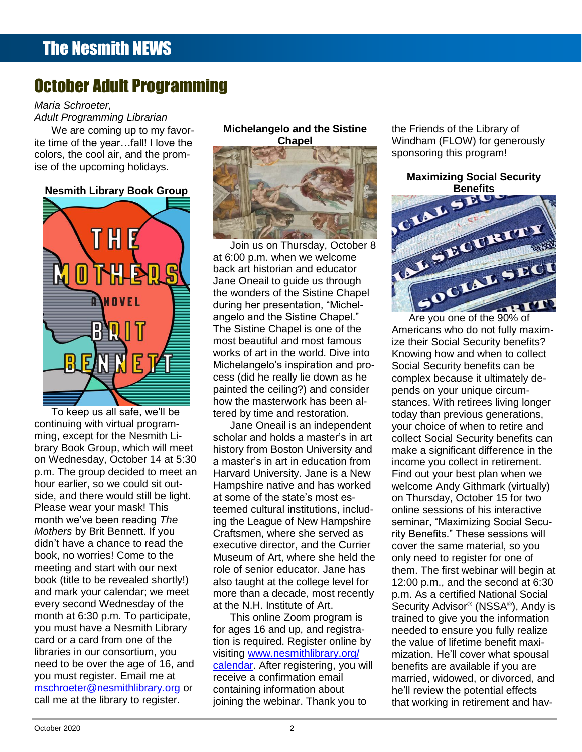## October Adult Programming

#### *Maria Schroeter,*

*Adult Programming Librarian*

We are coming up to my favorite time of the year…fall! I love the **Chapel** Chapel Windham (FLOW) for generously colors, the cool air, and the prom-



continuing with virtual programming, except for the Nesmith Liming, except for the Nesmith Li-<br>brary Book Group, which will meet on Wednesday, October 14 at 5:30 p.m. The group decided to meet an hour earlier, so we could sit outside, and there would still be light. Please wear your mask! This month we've been reading *The Mothers* by Brit Bennett. If you didn't have a chance to read the book, no worries! Come to the meeting and start with our next book (title to be revealed shortly!) and mark your calendar; we meet every second Wednesday of the month at 6:30 p.m. To participate, you must have a Nesmith Library card or a card from one of the libraries in our consortium, you need to be over the age of 16, and you must register. Email me at [mschroeter@nesmithlibrary.org](mailto:mschroeter@nesmithlibrary.org) or call me at the library to register.

#### **Michelangelo and the Sistine Chapel**



Join us on Thursday, October 8 at 6:00 p.m. when we welcome back art historian and educator Jane Oneail to guide us through the wonders of the Sistine Chapel during her presentation, "Michel- **Constant of the Constant of the Constant of the Constant of the Constant of the Constant of the Constant of the Constant of the Constant of the Constant of the Constant of the Constant of** angelo and the Sistine Chapel." The Sistine Chapel is one of the cess (did he really lie down as he how the masterwork has been altered by time and restoration.

Jane Oneail is an independent scholar and holds a master's in art history from Boston University and a master's in art in education from Harvard University. Jane is a New Hampshire native and has worked at some of the state's most esteemed cultural institutions, including the League of New Hampshire Craftsmen, where she served as executive director, and the Currier Museum of Art, where she held the role of senior educator. Jane has also taught at the college level for more than a decade, most recently at the N.H. Institute of Art.

This online Zoom program is for ages 16 and up, and registration is required. Register online by visiting [www.nesmithlibrary.org/](http://www.nesmithlibrary.org/calendar) [calendar.](http://www.nesmithlibrary.org/calendar) After registering, you will receive a confirmation email containing information about joining the webinar. Thank you to

the Friends of the Library of Windham (FLOW) for generously



To keep us all safe, we'll be entitled by time and restoration. The chaineder which was defined by the children<br>To keep us all safe, we'll be entitled by time and restoration. The chain of the original senerations. most beautiful and most famous [New DVD.............................................................................................................................................](file:///C:/Users/Joyce/Documents/Nesmith/2013/Feb%202013/NN02_13.doc%23_Toc347430581)**Error! Bookmark not defined.** works of art in the world. Dive into Knowing how and when to collect Michelangelo's inspiration and pro-The Reference Corner: Pollution [.........................................................................................................](file:///C:/Users/Joyce/Documents/Nesmith/2013/Feb%202013/NN02_13.doc%23_Toc347430583)**Error! Bookmark not defined.** From the Ceiling?) and consider the pends on your unique circum-**Example 20 Are you one of the 90% of** angelo and the Sistine Chapel." Are you one of the 90% of Americans who do not fully maxim-Dreams [................................................................................................................................................](file:///C:/Users/Joyce/Documents/Nesmith/2013/Feb%202013/NN02_13.doc%23_Toc347430580)**Error! Bookmark not defined.** ize their Social Security benefits? Knowing how and when to collect **FUCAN AL EVENTS ADDENSION Michelangelo's inspiration and pro-** Social Security benefits can be cess (did he really lie down as he complex because it ultimately depends on your unique circumstances. With retirees living longer **The Communist Communist Communist Communist Communist Communist Communist Communist Communist Communist Communist Communist Communist Communist Communist Communist Communist Communist** b keep us all safe, we'll be early tered by time and restoration. The today than previous generations, your choice of when to retire and collect Social Security benefits can make a significant difference in the income you collect in retirement. Find out your best plan when we welcome Andy Githmark (virtually) on Thursday, October 15 for two online sessions of his interactive seminar, "Maximizing Social Security Benefits." These sessions will cover the same material, so you only need to register for one of them. The first webinar will begin at 12:00 p.m., and the second at 6:30 p.m. As a certified National Social Security Advisor® (NSSA® ), Andy is trained to give you the information needed to ensure you fully realize the value of lifetime benefit maximization. He'll cover what spousal benefits are available if you are married, widowed, or divorced, and he'll review the potential effects that working in retirement and hav-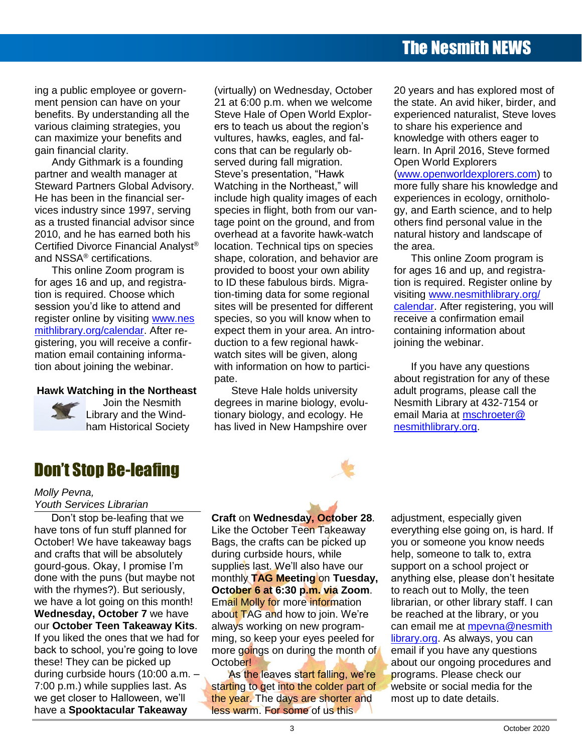## The Nesmith NEWS

ing a public employee or government pension can have on your benefits. By understanding all the various claiming strategies, you can maximize your benefits and gain financial clarity.

Andy Githmark is a founding partner and wealth manager at Steward Partners Global Advisory. He has been in the financial services industry since 1997, serving as a trusted financial advisor since 2010, and he has earned both his Certified Divorce Financial Analyst® and NSSA® certifications.

This online Zoom program is for ages 16 and up, and registration is required. Choose which session you'd like to attend and register online by visiting www.nes mithlibrary.org/calendar. After registering, you will receive a confirmation email containing information about joining the webinar.

#### **Hawk Watching in the Northeast**



Join the Nesmith Library and the Windham Historical Society

(virtually) on Wednesday, October 21 at 6:00 p.m. when we welcome Steve Hale of Open World Explorers to teach us about the region's vultures, hawks, eagles, and falcons that can be regularly observed during fall migration. Steve's presentation, "Hawk Watching in the Northeast," will include high quality images of each species in flight, both from our vantage point on the ground, and from overhead at a favorite hawk-watch location. Technical tips on species shape, coloration, and behavior are provided to boost your own ability to ID these fabulous birds. Migration-timing data for some regional sites will be presented for different species, so you will know when to expect them in your area. An introduction to a few regional hawkwatch sites will be given, along with information on how to participate.

Steve Hale holds university degrees in marine biology, evolutionary biology, and ecology. He has lived in New Hampshire over 20 years and has explored most of the state. An avid hiker, birder, and experienced naturalist, Steve loves to share his experience and knowledge with others eager to learn. In April 2016, Steve formed Open World Explorers [\(www.openworldexplorers.com\)](http://www.openworldexplorers.com/) to more fully share his knowledge and experiences in ecology, ornitholo-

gy, and Earth science, and to help others find personal value in the natural history and landscape of the area.

This online Zoom program is for ages 16 and up, and registration is required. Register online by visiting [www.nesmithlibrary.org/](http://www.nesmithlibrary.org/%0bcalendar) [calendar.](http://www.nesmithlibrary.org/%0bcalendar) After registering, you will receive a confirmation email containing information about joining the webinar.

If you have any questions about registration for any of these adult programs, please call the Nesmith Library at 432-7154 or email Maria at [mschroeter@](mailto:mschroeter@nesmithlibrary.org) [nesmithlibrary.org.](mailto:mschroeter@nesmithlibrary.org)

## Don't Stop Be-leafing

#### *Molly Pevna, Youth Services Librarian*

Don't stop be-leafing that we have tons of fun stuff planned for October! We have takeaway bags and crafts that will be absolutely gourd-gous. Okay, I promise I'm done with the puns (but maybe not with the rhymes?). But seriously, we have a lot going on this month! **Wednesday, October 7** we have our **October Teen Takeaway Kits**. If you liked the ones that we had for back to school, you're going to love these! They can be picked up during curbside hours (10:00 a.m. – 7:00 p.m.) while supplies last. As we get closer to Halloween, we'll have a **Spooktacular Takeaway** 

**Craft** on **Wednesday, October 28**. Like the October Teen Takeaway Bags, the crafts can be picked up during curbside hours, while supplies last. We'll also have our monthly **TAG Meeting** on **Tuesday, October 6 at 6:30 p.m. via Zoom**. Email Molly for more information about TAG and how to join. We're always working on new programming, so keep your eyes peeled for more goings on during the month of October!

As the leaves start falling, we're starting to get into the colder part of the year. The days are shorter and less warm. For some of us this

adjustment, especially given everything else going on, is hard. If you or someone you know needs help, someone to talk to, extra support on a school project or anything else, please don't hesitate to reach out to Molly, the teen librarian, or other library staff. I can be reached at the library, or you can email me at [mpevna@nesmith](mailto:mpevna@nesmithlibrary.org) [library.org.](mailto:mpevna@nesmithlibrary.org) As always, you can email if you have any questions about our ongoing procedures and programs. Please check our website or social media for the most up to date details.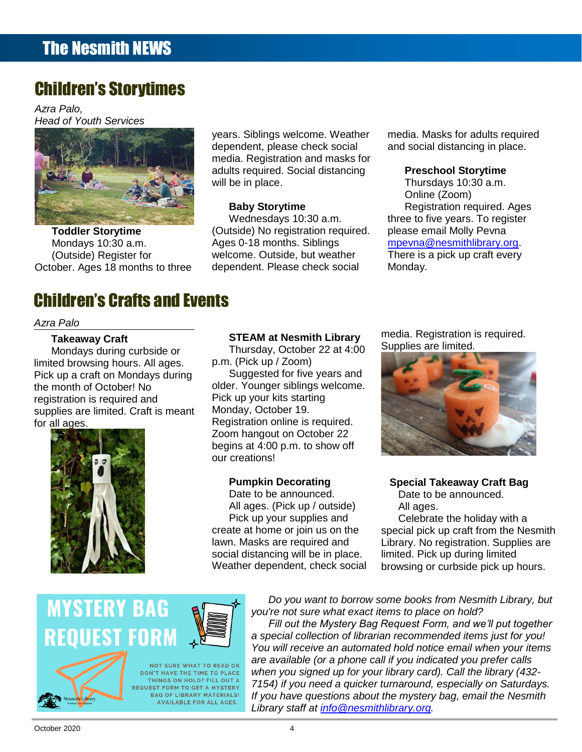## Children's Storytimes

*Azra Palo, Head of Youth Services*



**Toddler Storytime** Mondays 10:30 a.m. (Outside) Register for October. Ages 18 months to three

## Children's Crafts and Events

#### *Azra Palo*

#### **Takeaway Craft**

Mondays during curbside or limited browsing hours. All ages. Pick up a craft on Mondays during the month of October! No registration is required and supplies are limited. Craft is meant for all ages.



#### **STEAM at Nesmith Library**

years. Siblings welcome. Weather dependent, please check social media. Registration and masks for adults required. Social distancing

will be in place.

**Baby Storytime**

Wednesdays 10:30 a.m. (Outside) No registration required.

Ages 0-18 months. Siblings welcome. Outside, but weather dependent. Please check social

Thursday, October 22 at 4:00 p.m. (Pick up / Zoom)

Suggested for five years and older. Younger siblings welcome. Pick up your kits starting Monday, October 19. Registration online is required. Zoom hangout on October 22 begins at 4:00 p.m. to show off our creations!

#### **Pumpkin Decorating**

Date to be announced. All ages. (Pick up / outside) Pick up your supplies and create at home or join us on the lawn. Masks are required and social distancing will be in place. Weather dependent, check social media. Masks for adults required and social distancing in place.

#### **Preschool Storytime**

Thursdays 10:30 a.m. Online (Zoom) Registration required. Ages three to five years. To register please email Molly Pevna [mpevna@nesmithlibrary.org.](mailto:mpevna@nesmithlibrary.org) There is a pick up craft every Monday.

media. Registration is required. Supplies are limited.



**Special Takeaway Craft Bag** Date to be announced. All ages.

Celebrate the holiday with a special pick up craft from the Nesmith Library. No registration. Supplies are limited. Pick up during limited browsing or curbside pick up hours.

# **MYSTERY BAG REQUEST FORM**



**NOT SURE WHAT TO READ OR** DON'T HAVE THE TIME TO PLACE THINGS ON HOLD? FILL OUT A **REQUEST FORM TO GET A MYSTERY BAG OF LIBRARY MATERIALS!** AVAILABLE FOR ALL AGES.

*Do you want to borrow some books from Nesmith Library, but you're not sure what exact items to place on hold? Fill out the Mystery Bag Request Form, and we'll put together a special collection of librarian recommended items just for you! You will receive an automated hold notice email when your items are available (or a phone call if you indicated you prefer calls when you signed up for your library card). Call the library (432- 7154) if you need a quicker turnaround, especially on Saturdays. If you have questions about the mystery bag, email the Nesmith Library staff at [info@nesmithlibrary.org.](mailto:info@nesmithlibrary.org)*